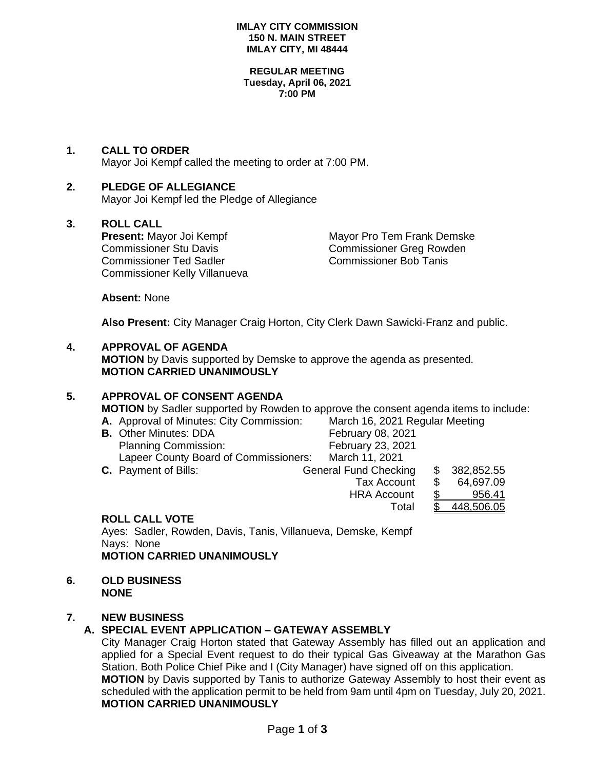#### **IMLAY CITY COMMISSION 150 N. MAIN STREET IMLAY CITY, MI 48444**

#### **REGULAR MEETING Tuesday, April 06, 2021 7:00 PM**

# **1. CALL TO ORDER**

Mayor Joi Kempf called the meeting to order at 7:00 PM.

# **2. PLEDGE OF ALLEGIANCE**

Mayor Joi Kempf led the Pledge of Allegiance

**3. ROLL CALL**  Commissioner Stu Davis Commissioner Greg Rowden Commissioner Ted Sadler Commissioner Bob Tanis Commissioner Kelly Villanueva

**Mayor Pro Tem Frank Demske** 

Total \$ 448,506.05

**Absent:** None

**Also Present:** City Manager Craig Horton, City Clerk Dawn Sawicki-Franz and public.

# **4. APPROVAL OF AGENDA**

**MOTION** by Davis supported by Demske to approve the agenda as presented. **MOTION CARRIED UNANIMOUSLY**

# **5. APPROVAL OF CONSENT AGENDA**

**MOTION** by Sadler supported by Rowden to approve the consent agenda items to include:

| A. Approval of Minutes: City Commission: |                              | March 16, 2021 Regular Meeting |            |  |
|------------------------------------------|------------------------------|--------------------------------|------------|--|
| <b>B.</b> Other Minutes: DDA             | February 08, 2021            |                                |            |  |
| <b>Planning Commission:</b>              | February 23, 2021            |                                |            |  |
| Lapeer County Board of Commissioners:    | March 11, 2021               |                                |            |  |
| <b>C.</b> Payment of Bills:              | <b>General Fund Checking</b> |                                | 382,852.55 |  |
|                                          | <b>Tax Account</b>           |                                | 64,697.09  |  |
|                                          | <b>HRA Account</b>           |                                | 956.41     |  |

# **ROLL CALL VOTE**

Ayes: Sadler, Rowden, Davis, Tanis, Villanueva, Demske, Kempf Nays: None **MOTION CARRIED UNANIMOUSLY**

**6. OLD BUSINESS NONE**

#### **7. NEW BUSINESS**

# **A. SPECIAL EVENT APPLICATION – GATEWAY ASSEMBLY**

City Manager Craig Horton stated that Gateway Assembly has filled out an application and applied for a Special Event request to do their typical Gas Giveaway at the Marathon Gas Station. Both Police Chief Pike and I (City Manager) have signed off on this application. **MOTION** by Davis supported by Tanis to authorize Gateway Assembly to host their event as scheduled with the application permit to be held from 9am until 4pm on Tuesday, July 20, 2021.

# **MOTION CARRIED UNANIMOUSLY**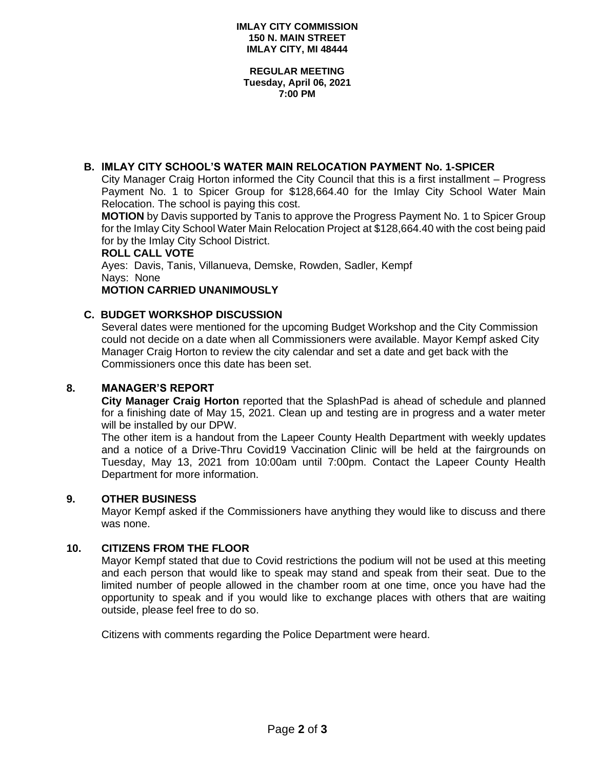**REGULAR MEETING Tuesday, April 06, 2021 7:00 PM**

# **B. IMLAY CITY SCHOOL'S WATER MAIN RELOCATION PAYMENT No. 1-SPICER**

City Manager Craig Horton informed the City Council that this is a first installment – Progress Payment No. 1 to Spicer Group for \$128,664.40 for the Imlay City School Water Main Relocation. The school is paying this cost.

**MOTION** by Davis supported by Tanis to approve the Progress Payment No. 1 to Spicer Group for the Imlay City School Water Main Relocation Project at \$128,664.40 with the cost being paid for by the Imlay City School District.

#### **ROLL CALL VOTE**

Ayes: Davis, Tanis, Villanueva, Demske, Rowden, Sadler, Kempf Nays: None

**MOTION CARRIED UNANIMOUSLY**

### **C. BUDGET WORKSHOP DISCUSSION**

Several dates were mentioned for the upcoming Budget Workshop and the City Commission could not decide on a date when all Commissioners were available. Mayor Kempf asked City Manager Craig Horton to review the city calendar and set a date and get back with the Commissioners once this date has been set.

#### **8. MANAGER'S REPORT**

**City Manager Craig Horton** reported that the SplashPad is ahead of schedule and planned for a finishing date of May 15, 2021. Clean up and testing are in progress and a water meter will be installed by our DPW.

The other item is a handout from the Lapeer County Health Department with weekly updates and a notice of a Drive-Thru Covid19 Vaccination Clinic will be held at the fairgrounds on Tuesday, May 13, 2021 from 10:00am until 7:00pm. Contact the Lapeer County Health Department for more information.

#### **9. OTHER BUSINESS**

Mayor Kempf asked if the Commissioners have anything they would like to discuss and there was none.

#### **10. CITIZENS FROM THE FLOOR**

Mayor Kempf stated that due to Covid restrictions the podium will not be used at this meeting and each person that would like to speak may stand and speak from their seat. Due to the limited number of people allowed in the chamber room at one time, once you have had the opportunity to speak and if you would like to exchange places with others that are waiting outside, please feel free to do so.

Citizens with comments regarding the Police Department were heard.